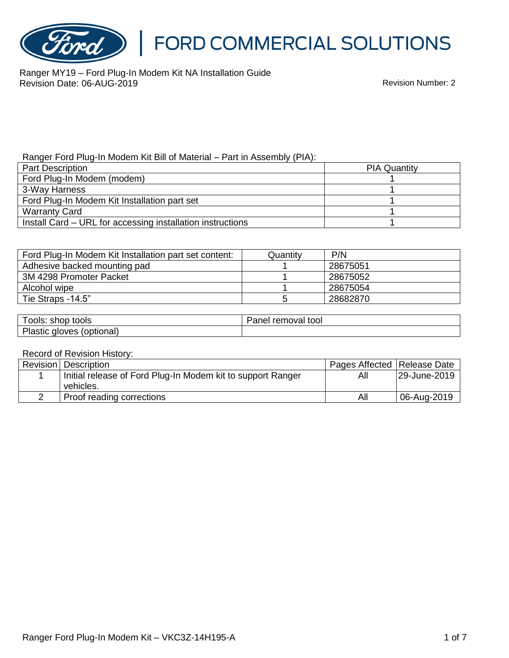

Ranger MY19 – Ford Plug-In Modem Kit NA Installation Guide Revision Date: 06-AUG-2019 Revision Number: 2

#### Ranger Ford Plug-In Modem Kit Bill of Material – Part in Assembly (PIA):

| <b>Part Description</b>                                    | <b>PIA Quantity</b> |
|------------------------------------------------------------|---------------------|
| Ford Plug-In Modem (modem)                                 |                     |
| 3-Way Harness                                              |                     |
| Ford Plug-In Modem Kit Installation part set               |                     |
| <b>Warranty Card</b>                                       |                     |
| Install Card – URL for accessing installation instructions |                     |

| Ford Plug-In Modem Kit Installation part set content: | Quantity | P/N      |
|-------------------------------------------------------|----------|----------|
| Adhesive backed mounting pad                          |          | 28675051 |
| 3M 4298 Promoter Packet                               |          | 28675052 |
| Alcohol wipe                                          |          | 28675054 |
| Tie Straps -14.5"                                     |          | 28682870 |

| ∶shop tools<br>OOIS:            | removal<br>tool<br>'anel |
|---------------------------------|--------------------------|
| Plastic<br>(optional)<br>gloves |                          |

#### Record of Revision History:

| Revision   Description                                      | Pages Affected   Release Date |              |
|-------------------------------------------------------------|-------------------------------|--------------|
| Initial release of Ford Plug-In Modem kit to support Ranger | All                           | 29-June-2019 |
| vehicles.                                                   |                               |              |
| Proof reading corrections                                   | All                           | 06-Aug-2019  |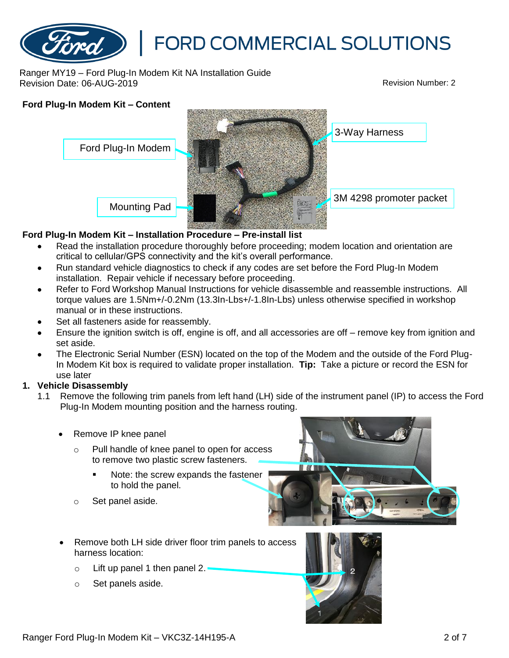

Ranger MY19 – Ford Plug-In Modem Kit NA Installation Guide Revision Date: 06-AUG-2019 Revision Number: 2



### **Ford Plug-In Modem Kit – Installation Procedure – Pre-install list**

- Read the installation procedure thoroughly before proceeding; modem location and orientation are critical to cellular/GPS connectivity and the kit's overall performance.
- Run standard vehicle diagnostics to check if any codes are set before the Ford Plug-In Modem installation. Repair vehicle if necessary before proceeding.
- Refer to Ford Workshop Manual Instructions for vehicle disassemble and reassemble instructions. All torque values are 1.5Nm+/-0.2Nm (13.3In-Lbs+/-1.8In-Lbs) unless otherwise specified in workshop manual or in these instructions.
- Set all fasteners aside for reassembly.
- Ensure the ignition switch is off, engine is off, and all accessories are off remove key from ignition and set aside.
- The Electronic Serial Number (ESN) located on the top of the Modem and the outside of the Ford Plug-In Modem Kit box is required to validate proper installation. **Tip:** Take a picture or record the ESN for use later

### **1. Vehicle Disassembly**

- 1.1 Remove the following trim panels from left hand (LH) side of the instrument panel (IP) to access the Ford Plug-In Modem mounting position and the harness routing.
	- Remove IP knee panel
		- Pull handle of knee panel to open for access to remove two plastic screw fasteners.
			- Note: the screw expands the fastener to hold the panel.
		- o Set panel aside.



- Remove both LH side driver floor trim panels to access harness location:
	- $\circ$  Lift up panel 1 then panel 2.
	- o Set panels aside.

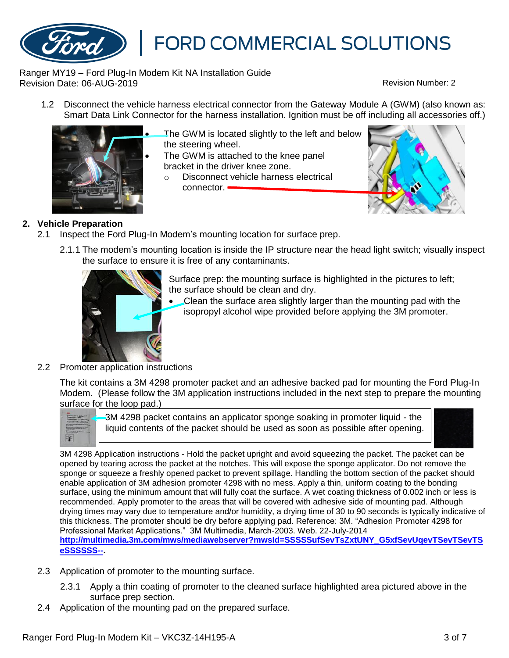

Ranger MY19 – Ford Plug-In Modem Kit NA Installation Guide Revision Date: 06-AUG-2019 Revision Number: 2

1.2 Disconnect the vehicle harness electrical connector from the Gateway Module A (GWM) (also known as: Smart Data Link Connector for the harness installation. Ignition must be off including all accessories off.)



The GWM is located slightly to the left and below the steering wheel.

- The GWM is attached to the knee panel bracket in the driver knee zone.
	- o Disconnect vehicle harness electrical connector.  $\blacksquare$



## **2. Vehicle Preparation**

- 2.1 Inspect the Ford Plug-In Modem's mounting location for surface prep.
	- 2.1.1 The modem's mounting location is inside the IP structure near the head light switch; visually inspect the surface to ensure it is free of any contaminants.



Surface prep: the mounting surface is highlighted in the pictures to left; the surface should be clean and dry.

• Clean the surface area slightly larger than the mounting pad with the isopropyl alcohol wipe provided before applying the 3M promoter.

2.2 Promoter application instructions

The kit contains a 3M 4298 promoter packet and an adhesive backed pad for mounting the Ford Plug-In Modem. (Please follow the 3M application instructions included in the next step to prepare the mounting surface for the loop pad.)



3M 4298 packet contains an applicator sponge soaking in promoter liquid - the liquid contents of the packet should be used as soon as possible after opening.



3M 4298 Application instructions - Hold the packet upright and avoid squeezing the packet. The packet can be opened by tearing across the packet at the notches. This will expose the sponge applicator. Do not remove the sponge or squeeze a freshly opened packet to prevent spillage. Handling the bottom section of the packet should enable application of 3M adhesion promoter 4298 with no mess. Apply a thin, uniform coating to the bonding surface, using the minimum amount that will fully coat the surface. A wet coating thickness of 0.002 inch or less is recommended. Apply promoter to the areas that will be covered with adhesive side of mounting pad. Although drying times may vary due to temperature and/or humidity, a drying time of 30 to 90 seconds is typically indicative of this thickness. The promoter should be dry before applying pad. Reference: 3M. "Adhesion Promoter 4298 for Professional Market Applications." 3M Multimedia, March-2003. Web. 22-July-2014 **[http://multimedia.3m.com/mws/mediawebserver?mwsId=SSSSSufSevTsZxtUNY\\_G5xfSevUqevTSevTSevTS](http://multimedia.3m.com/mws/mediawebserver?mwsId=SSSSSufSevTsZxtUNY_G5xfSevUqevTSevTSevTSeSSSSSS--) [eSSSSSS--](http://multimedia.3m.com/mws/mediawebserver?mwsId=SSSSSufSevTsZxtUNY_G5xfSevUqevTSevTSevTSeSSSSSS--).**

- 2.3 Application of promoter to the mounting surface.
	- 2.3.1 Apply a thin coating of promoter to the cleaned surface highlighted area pictured above in the surface prep section.
- 2.4 Application of the mounting pad on the prepared surface.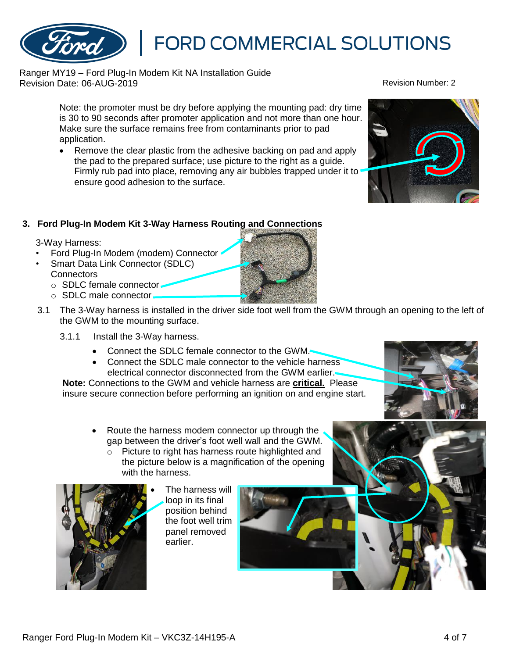Ranger MY19 – Ford Plug-In Modem Kit NA Installation Guide Revision Date: 06-AUG-2019 Revision Number: 2

Note: the promoter must be dry before applying the mounting pad: dry time is 30 to 90 seconds after promoter application and not more than one hour. Make sure the surface remains free from contaminants prior to pad application.

• Remove the clear plastic from the adhesive backing on pad and apply the pad to the prepared surface; use picture to the right as a guide. Firmly rub pad into place, removing any air bubbles trapped under it to ensure good adhesion to the surface.

# **3. Ford Plug-In Modem Kit 3-Way Harness Routing and Connections**

3-Way Harness:

• Ford Plug-In Modem (modem) Connector

• Smart Data Link Connector (SDLC) **Connectors** 

- o SDLC female connector-
- o SDLC male connector
- 3.1 The 3-Way harness is installed in the driver side foot well from the GWM through an opening to the left of the GWM to the mounting surface.
	- 3.1.1 Install the 3-Way harness.
		- Connect the SDLC female connector to the GWM.
		- Connect the SDLC male connector to the vehicle harness electrical connector disconnected from the GWM earlier.

**Note:** Connections to the GWM and vehicle harness are **critical.** Please insure secure connection before performing an ignition on and engine start.

- Route the harness modem connector up through the gap between the driver's foot well wall and the GWM.
	- o Picture to right has harness route highlighted and the picture below is a magnification of the opening with the harness.











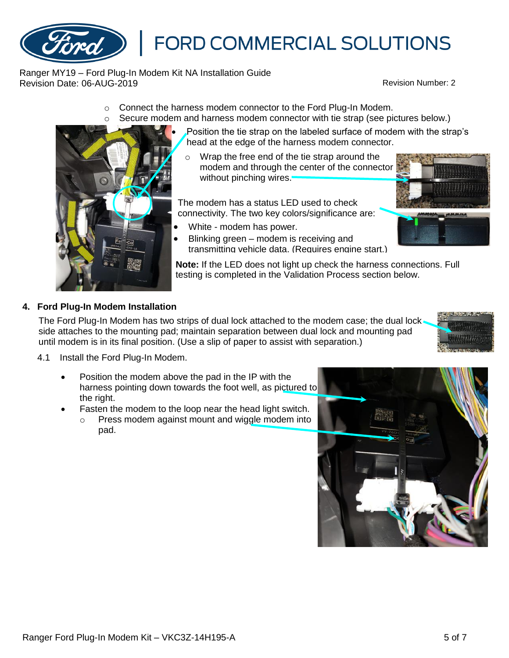Ranger MY19 – Ford Plug-In Modem Kit NA Installation Guide Revision Date: 06-AUG-2019 Revision Number: 2

- o Connect the harness modem connector to the Ford Plug-In Modem.
- $\circ$  Secure modem and harness modem connector with tie strap (see pictures below.)
	- Position the tie strap on the labeled surface of modem with the strap's head at the edge of the harness modem connector.
	- Wrap the free end of the tie strap around the modem and through the center of the connector without pinching wires.

The modem has a status LED used to check connectivity. The two key colors/significance are:

- White modem has power.
- Blinking green modem is receiving and transmitting vehicle data. (Requires engine start.)

**Note:** If the LED does not light up check the harness connections. Full testing is completed in the Validation Process section below.

## **4. Ford Plug-In Modem Installation**

The Ford Plug-In Modem has two strips of dual lock attached to the modem case; the dual lock side attaches to the mounting pad; maintain separation between dual lock and mounting pad until modem is in its final position. (Use a slip of paper to assist with separation.)

- 4.1 Install the Ford Plug-In Modem.
	- Position the modem above the pad in the IP with the harness pointing down towards the foot well, as pictured to the right.
	- Fasten the modem to the loop near the head light switch.
		- Press modem against mount and wiggle modem into pad.







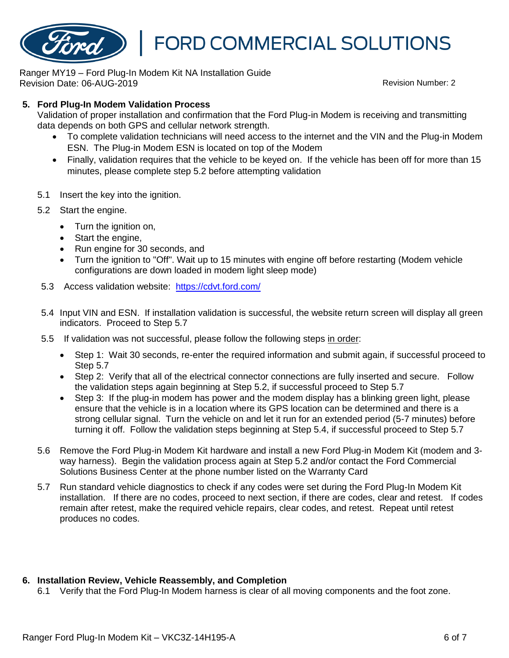

Ranger MY19 – Ford Plug-In Modem Kit NA Installation Guide Revision Date: 06-AUG-2019 Revision Number: 2

#### **5. Ford Plug-In Modem Validation Process**

Validation of proper installation and confirmation that the Ford Plug-in Modem is receiving and transmitting data depends on both GPS and cellular network strength.

- To complete validation technicians will need access to the internet and the VIN and the Plug-in Modem ESN. The Plug-in Modem ESN is located on top of the Modem
- Finally, validation requires that the vehicle to be keyed on. If the vehicle has been off for more than 15 minutes, please complete step 5.2 before attempting validation
- 5.1 Insert the key into the ignition.
- 5.2 Start the engine.
	- Turn the ignition on,
	- Start the engine,
	- Run engine for 30 seconds, and
	- Turn the ignition to "Off". Wait up to 15 minutes with engine off before restarting (Modem vehicle configurations are down loaded in modem light sleep mode)
- 5.3 Access validation website: <https://cdvt.ford.com/>
- 5.4 Input VIN and ESN. If installation validation is successful, the website return screen will display all green indicators. Proceed to Step 5.7
- 5.5 If validation was not successful, please follow the following steps in order:
	- Step 1: Wait 30 seconds, re-enter the required information and submit again, if successful proceed to Step 5.7
	- Step 2: Verify that all of the electrical connector connections are fully inserted and secure. Follow the validation steps again beginning at Step 5.2, if successful proceed to Step 5.7
	- Step 3: If the plug-in modem has power and the modem display has a blinking green light, please ensure that the vehicle is in a location where its GPS location can be determined and there is a strong cellular signal. Turn the vehicle on and let it run for an extended period (5-7 minutes) before turning it off. Follow the validation steps beginning at Step 5.4, if successful proceed to Step 5.7
- 5.6 Remove the Ford Plug-in Modem Kit hardware and install a new Ford Plug-in Modem Kit (modem and 3 way harness). Begin the validation process again at Step 5.2 and/or contact the Ford Commercial Solutions Business Center at the phone number listed on the Warranty Card
- 5.7 Run standard vehicle diagnostics to check if any codes were set during the Ford Plug-In Modem Kit installation. If there are no codes, proceed to next section, if there are codes, clear and retest. If codes remain after retest, make the required vehicle repairs, clear codes, and retest. Repeat until retest produces no codes.

### **6. Installation Review, Vehicle Reassembly, and Completion**

6.1 Verify that the Ford Plug-In Modem harness is clear of all moving components and the foot zone.